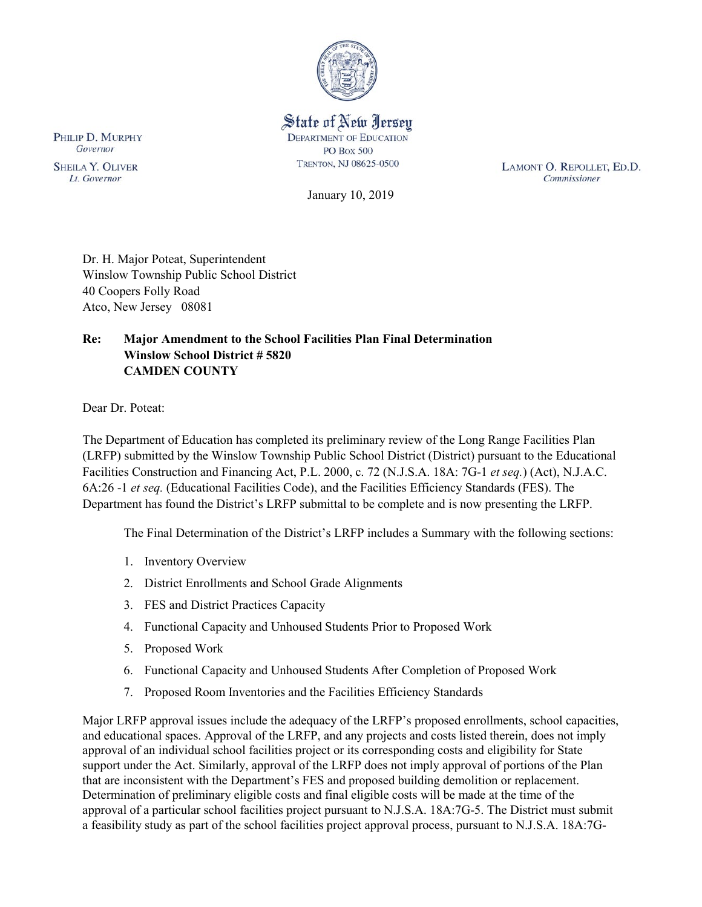

State of New Jersey **DEPARTMENT OF EDUCATION PO Box 500** TRENTON, NJ 08625-0500

LAMONT O. REPOLLET, ED.D. Commissioner

January 10, 2019

Dr. H. Major Poteat, Superintendent Winslow Township Public School District 40 Coopers Folly Road Atco, New Jersey 08081

## **Re: Major Amendment to the School Facilities Plan Final Determination Winslow School District # 5820 CAMDEN COUNTY**

Dear Dr. Poteat:

The Department of Education has completed its preliminary review of the Long Range Facilities Plan (LRFP) submitted by the Winslow Township Public School District (District) pursuant to the Educational Facilities Construction and Financing Act, P.L. 2000, c. 72 (N.J.S.A. 18A: 7G-1 *et seq.*) (Act), N.J.A.C. 6A:26 -1 *et seq.* (Educational Facilities Code), and the Facilities Efficiency Standards (FES). The Department has found the District's LRFP submittal to be complete and is now presenting the LRFP.

The Final Determination of the District's LRFP includes a Summary with the following sections:

- 1. Inventory Overview
- 2. District Enrollments and School Grade Alignments
- 3. FES and District Practices Capacity
- 4. Functional Capacity and Unhoused Students Prior to Proposed Work
- 5. Proposed Work
- 6. Functional Capacity and Unhoused Students After Completion of Proposed Work
- 7. Proposed Room Inventories and the Facilities Efficiency Standards

Major LRFP approval issues include the adequacy of the LRFP's proposed enrollments, school capacities, and educational spaces. Approval of the LRFP, and any projects and costs listed therein, does not imply approval of an individual school facilities project or its corresponding costs and eligibility for State support under the Act. Similarly, approval of the LRFP does not imply approval of portions of the Plan that are inconsistent with the Department's FES and proposed building demolition or replacement. Determination of preliminary eligible costs and final eligible costs will be made at the time of the approval of a particular school facilities project pursuant to N.J.S.A. 18A:7G-5. The District must submit a feasibility study as part of the school facilities project approval process, pursuant to N.J.S.A. 18A:7G-

PHILIP D. MURPHY Governor

**SHEILA Y. OLIVER** Lt. Governor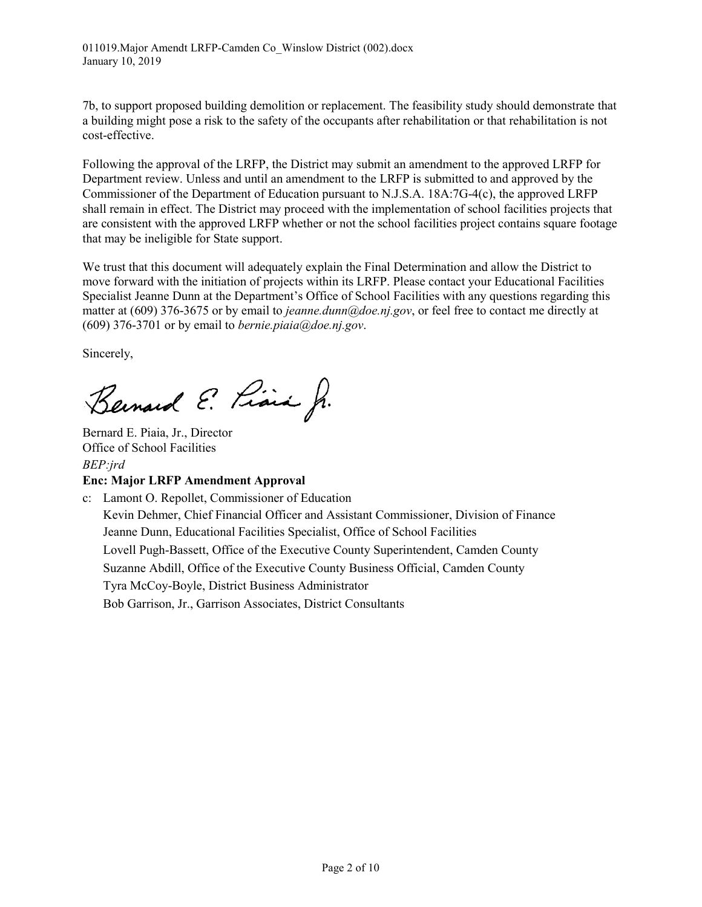7b, to support proposed building demolition or replacement. The feasibility study should demonstrate that a building might pose a risk to the safety of the occupants after rehabilitation or that rehabilitation is not cost-effective.

Following the approval of the LRFP, the District may submit an amendment to the approved LRFP for Department review. Unless and until an amendment to the LRFP is submitted to and approved by the Commissioner of the Department of Education pursuant to N.J.S.A. 18A:7G-4(c), the approved LRFP shall remain in effect. The District may proceed with the implementation of school facilities projects that are consistent with the approved LRFP whether or not the school facilities project contains square footage that may be ineligible for State support.

We trust that this document will adequately explain the Final Determination and allow the District to move forward with the initiation of projects within its LRFP. Please contact your Educational Facilities Specialist Jeanne Dunn at the Department's Office of School Facilities with any questions regarding this matter at (609) 376-3675 or by email to *jeanne.dunn@doe.nj.gov*, or feel free to contact me directly at (609) 376-3701 or by email to *bernie.piaia@doe.nj.gov*.

Sincerely,

Bernard E. Piara Jr.

Bernard E. Piaia, Jr., Director Office of School Facilities *BEP:jrd*

## **Enc: Major LRFP Amendment Approval**

c: Lamont O. Repollet, Commissioner of Education Kevin Dehmer, Chief Financial Officer and Assistant Commissioner, Division of Finance Jeanne Dunn, Educational Facilities Specialist, Office of School Facilities Lovell Pugh-Bassett, Office of the Executive County Superintendent, Camden County Suzanne Abdill, Office of the Executive County Business Official, Camden County Tyra McCoy-Boyle, District Business Administrator Bob Garrison, Jr., Garrison Associates, District Consultants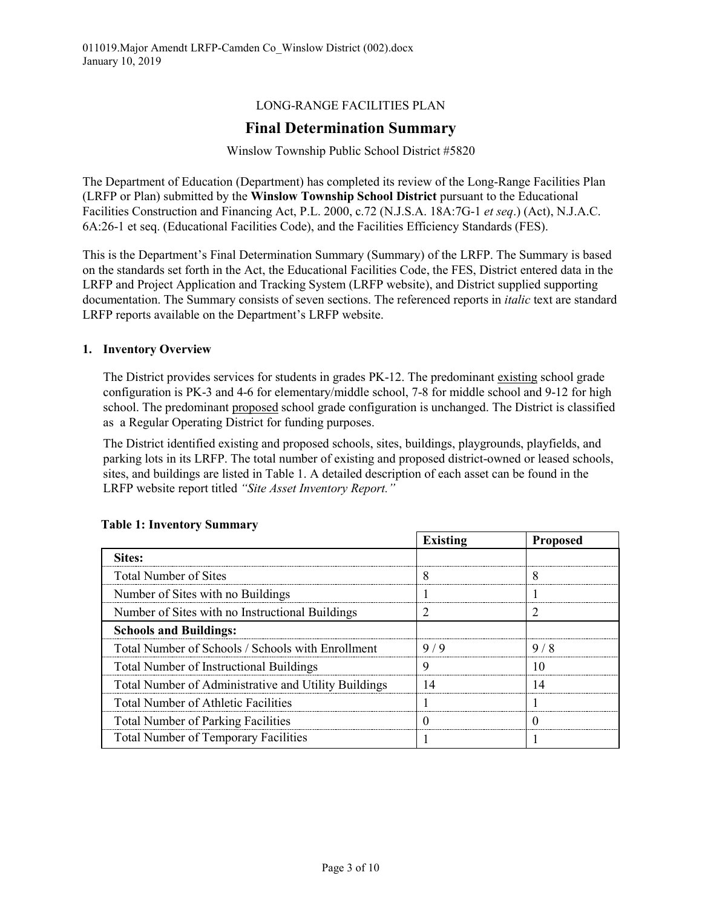## LONG-RANGE FACILITIES PLAN

# **Final Determination Summary**

#### Winslow Township Public School District #5820

The Department of Education (Department) has completed its review of the Long-Range Facilities Plan (LRFP or Plan) submitted by the **Winslow Township School District** pursuant to the Educational Facilities Construction and Financing Act, P.L. 2000, c.72 (N.J.S.A. 18A:7G-1 *et seq*.) (Act), N.J.A.C. 6A:26-1 et seq. (Educational Facilities Code), and the Facilities Efficiency Standards (FES).

This is the Department's Final Determination Summary (Summary) of the LRFP. The Summary is based on the standards set forth in the Act, the Educational Facilities Code, the FES, District entered data in the LRFP and Project Application and Tracking System (LRFP website), and District supplied supporting documentation. The Summary consists of seven sections. The referenced reports in *italic* text are standard LRFP reports available on the Department's LRFP website.

#### **1. Inventory Overview**

The District provides services for students in grades PK-12. The predominant existing school grade configuration is PK-3 and 4-6 for elementary/middle school, 7-8 for middle school and 9-12 for high school. The predominant proposed school grade configuration is unchanged. The District is classified as a Regular Operating District for funding purposes.

The District identified existing and proposed schools, sites, buildings, playgrounds, playfields, and parking lots in its LRFP. The total number of existing and proposed district-owned or leased schools, sites, and buildings are listed in Table 1. A detailed description of each asset can be found in the LRFP website report titled *"Site Asset Inventory Report."* 

|                                                      | <b>Existing</b> | <b>Proposed</b> |
|------------------------------------------------------|-----------------|-----------------|
| Sites:                                               |                 |                 |
| Total Number of Sites                                |                 |                 |
| Number of Sites with no Buildings                    |                 |                 |
| Number of Sites with no Instructional Buildings      |                 |                 |
| <b>Schools and Buildings:</b>                        |                 |                 |
| Total Number of Schools / Schools with Enrollment    | 9/9             | 978             |
| <b>Total Number of Instructional Buildings</b>       | ч               |                 |
| Total Number of Administrative and Utility Buildings | 14              |                 |
| <b>Total Number of Athletic Facilities</b>           |                 |                 |
| <b>Total Number of Parking Facilities</b>            |                 |                 |
| <b>Total Number of Temporary Facilities</b>          |                 |                 |

#### **Table 1: Inventory Summary**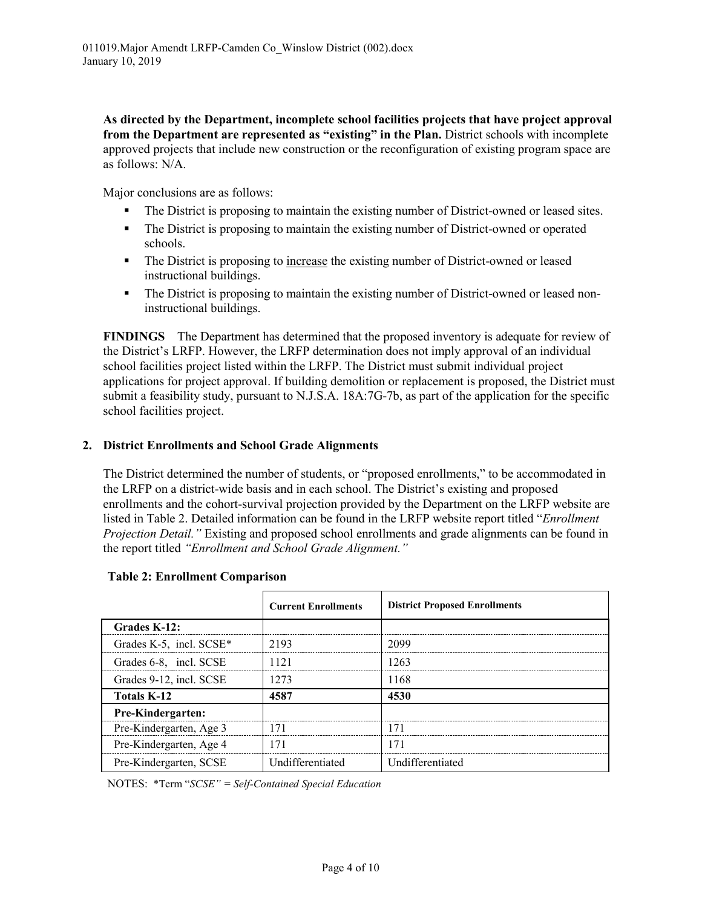**As directed by the Department, incomplete school facilities projects that have project approval from the Department are represented as "existing" in the Plan.** District schools with incomplete approved projects that include new construction or the reconfiguration of existing program space are as follows: N/A.

Major conclusions are as follows:

- The District is proposing to maintain the existing number of District-owned or leased sites.
- The District is proposing to maintain the existing number of District-owned or operated schools.
- The District is proposing to increase the existing number of District-owned or leased instructional buildings.
- The District is proposing to maintain the existing number of District-owned or leased noninstructional buildings.

**FINDINGS** The Department has determined that the proposed inventory is adequate for review of the District's LRFP. However, the LRFP determination does not imply approval of an individual school facilities project listed within the LRFP. The District must submit individual project applications for project approval. If building demolition or replacement is proposed, the District must submit a feasibility study, pursuant to N.J.S.A. 18A:7G-7b, as part of the application for the specific school facilities project.

#### **2. District Enrollments and School Grade Alignments**

The District determined the number of students, or "proposed enrollments," to be accommodated in the LRFP on a district-wide basis and in each school. The District's existing and proposed enrollments and the cohort-survival projection provided by the Department on the LRFP website are listed in Table 2. Detailed information can be found in the LRFP website report titled "*Enrollment Projection Detail."* Existing and proposed school enrollments and grade alignments can be found in the report titled *"Enrollment and School Grade Alignment."*

|                          | <b>Current Enrollments</b> | <b>District Proposed Enrollments</b> |
|--------------------------|----------------------------|--------------------------------------|
| Grades K-12:             |                            |                                      |
| Grades K-5, incl. SCSE*  | 2193                       | 2099                                 |
| Grades 6-8, incl. SCSE   | 1121                       | 1263                                 |
| Grades 9-12, incl. SCSE  | 1273                       | 1168                                 |
| <b>Totals K-12</b>       | 4587                       | 4530                                 |
| <b>Pre-Kindergarten:</b> |                            |                                      |
| Pre-Kindergarten, Age 3  | 71                         |                                      |
| Pre-Kindergarten, Age 4  | 171                        | 171                                  |
| Pre-Kindergarten, SCSE   | Undifferentiated           | Undifferentiated                     |

#### **Table 2: Enrollment Comparison**

NOTES: \*Term "*SCSE" = Self-Contained Special Education*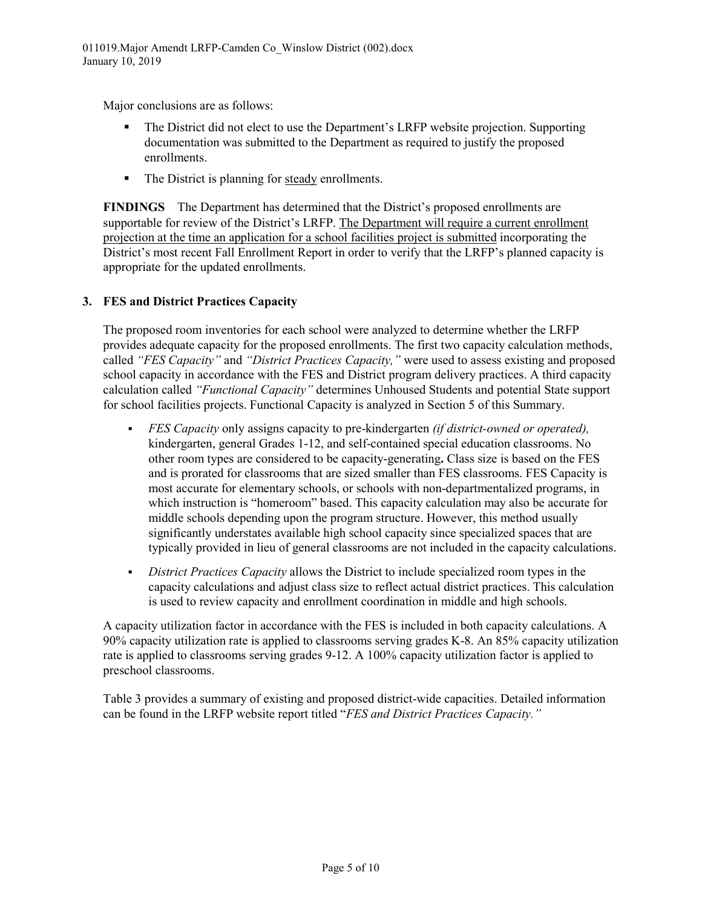Major conclusions are as follows:

- The District did not elect to use the Department's LRFP website projection. Supporting documentation was submitted to the Department as required to justify the proposed enrollments.
- The District is planning for steady enrollments.

**FINDINGS** The Department has determined that the District's proposed enrollments are supportable for review of the District's LRFP. The Department will require a current enrollment projection at the time an application for a school facilities project is submitted incorporating the District's most recent Fall Enrollment Report in order to verify that the LRFP's planned capacity is appropriate for the updated enrollments.

## **3. FES and District Practices Capacity**

The proposed room inventories for each school were analyzed to determine whether the LRFP provides adequate capacity for the proposed enrollments. The first two capacity calculation methods, called *"FES Capacity"* and *"District Practices Capacity,"* were used to assess existing and proposed school capacity in accordance with the FES and District program delivery practices. A third capacity calculation called *"Functional Capacity"* determines Unhoused Students and potential State support for school facilities projects. Functional Capacity is analyzed in Section 5 of this Summary.

- *FES Capacity* only assigns capacity to pre-kindergarten *(if district-owned or operated),* kindergarten, general Grades 1-12, and self-contained special education classrooms. No other room types are considered to be capacity-generating**.** Class size is based on the FES and is prorated for classrooms that are sized smaller than FES classrooms. FES Capacity is most accurate for elementary schools, or schools with non-departmentalized programs, in which instruction is "homeroom" based. This capacity calculation may also be accurate for middle schools depending upon the program structure. However, this method usually significantly understates available high school capacity since specialized spaces that are typically provided in lieu of general classrooms are not included in the capacity calculations.
- *District Practices Capacity* allows the District to include specialized room types in the capacity calculations and adjust class size to reflect actual district practices. This calculation is used to review capacity and enrollment coordination in middle and high schools.

A capacity utilization factor in accordance with the FES is included in both capacity calculations. A 90% capacity utilization rate is applied to classrooms serving grades K-8. An 85% capacity utilization rate is applied to classrooms serving grades 9-12. A 100% capacity utilization factor is applied to preschool classrooms.

Table 3 provides a summary of existing and proposed district-wide capacities. Detailed information can be found in the LRFP website report titled "*FES and District Practices Capacity."*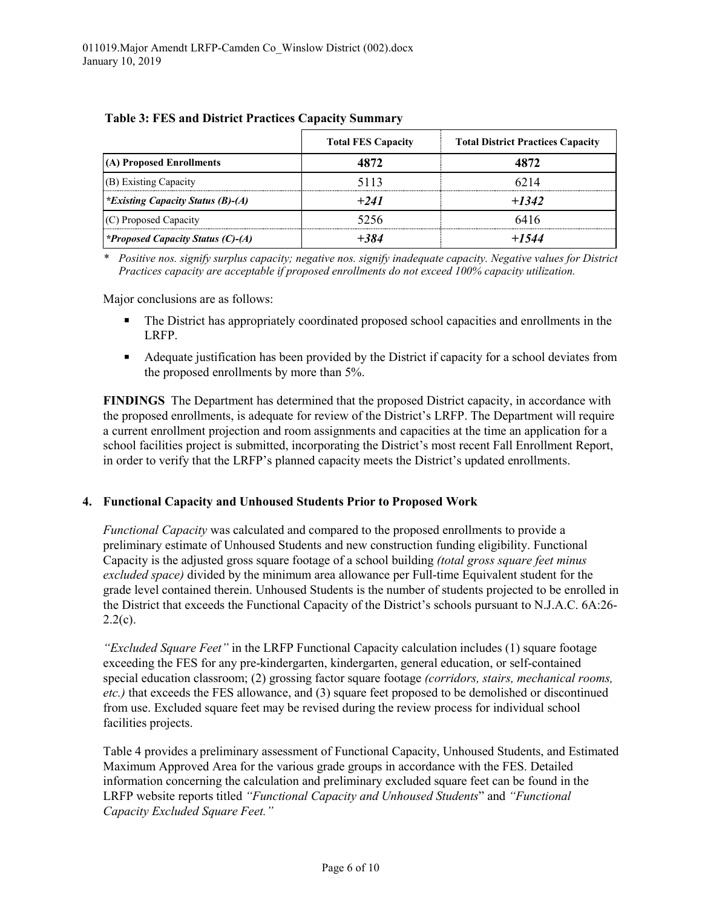|                                          | <b>Total FES Capacity</b> | <b>Total District Practices Capacity</b> |
|------------------------------------------|---------------------------|------------------------------------------|
| (A) Proposed Enrollments                 | 4872                      | 1872                                     |
| (B) Existing Capacity                    | 5113                      | 6214                                     |
| <i>*Existing Capacity Status (B)-(A)</i> | $+241$                    | $+1342$                                  |
| (C) Proposed Capacity                    | 5256                      | 6416                                     |
| <i>*Proposed Capacity Status (C)-(A)</i> |                           | $+1544$                                  |

|  |  | <b>Table 3: FES and District Practices Capacity Summary</b> |
|--|--|-------------------------------------------------------------|
|  |  |                                                             |

*\* Positive nos. signify surplus capacity; negative nos. signify inadequate capacity. Negative values for District Practices capacity are acceptable if proposed enrollments do not exceed 100% capacity utilization.*

Major conclusions are as follows:

- The District has appropriately coordinated proposed school capacities and enrollments in the LRFP.
- Adequate justification has been provided by the District if capacity for a school deviates from the proposed enrollments by more than 5%.

**FINDINGS** The Department has determined that the proposed District capacity, in accordance with the proposed enrollments, is adequate for review of the District's LRFP. The Department will require a current enrollment projection and room assignments and capacities at the time an application for a school facilities project is submitted, incorporating the District's most recent Fall Enrollment Report, in order to verify that the LRFP's planned capacity meets the District's updated enrollments.

#### **4. Functional Capacity and Unhoused Students Prior to Proposed Work**

*Functional Capacity* was calculated and compared to the proposed enrollments to provide a preliminary estimate of Unhoused Students and new construction funding eligibility. Functional Capacity is the adjusted gross square footage of a school building *(total gross square feet minus excluded space)* divided by the minimum area allowance per Full-time Equivalent student for the grade level contained therein. Unhoused Students is the number of students projected to be enrolled in the District that exceeds the Functional Capacity of the District's schools pursuant to N.J.A.C. 6A:26-  $2.2(c)$ .

*"Excluded Square Feet"* in the LRFP Functional Capacity calculation includes (1) square footage exceeding the FES for any pre-kindergarten, kindergarten, general education, or self-contained special education classroom; (2) grossing factor square footage *(corridors, stairs, mechanical rooms, etc.)* that exceeds the FES allowance, and (3) square feet proposed to be demolished or discontinued from use. Excluded square feet may be revised during the review process for individual school facilities projects.

Table 4 provides a preliminary assessment of Functional Capacity, Unhoused Students, and Estimated Maximum Approved Area for the various grade groups in accordance with the FES. Detailed information concerning the calculation and preliminary excluded square feet can be found in the LRFP website reports titled *"Functional Capacity and Unhoused Students*" and *"Functional Capacity Excluded Square Feet."*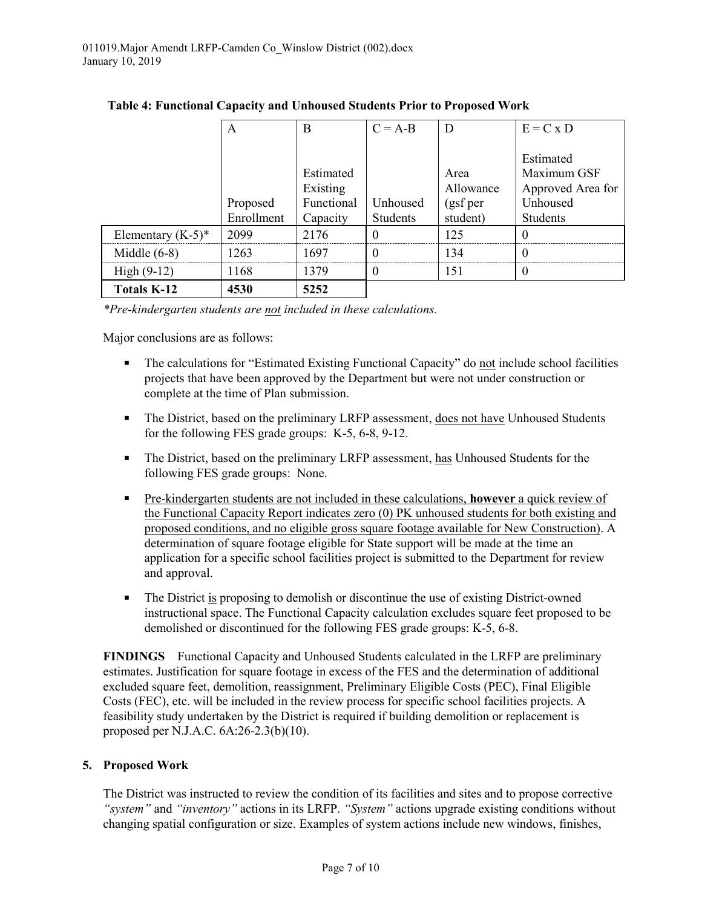| Table 4: Functional Capacity and Unhoused Students Prior to Proposed Work |  |  |
|---------------------------------------------------------------------------|--|--|
|                                                                           |  |  |

*\*Pre-kindergarten students are not included in these calculations.* 

Major conclusions are as follows:

- The calculations for "Estimated Existing Functional Capacity" do not include school facilities projects that have been approved by the Department but were not under construction or complete at the time of Plan submission.
- The District, based on the preliminary LRFP assessment, does not have Unhoused Students for the following FES grade groups: K-5, 6-8, 9-12.
- The District, based on the preliminary LRFP assessment, has Unhoused Students for the following FES grade groups: None.
- Pre-kindergarten students are not included in these calculations, **however** a quick review of the Functional Capacity Report indicates zero (0) PK unhoused students for both existing and proposed conditions, and no eligible gross square footage available for New Construction). A determination of square footage eligible for State support will be made at the time an application for a specific school facilities project is submitted to the Department for review and approval.
- **The District is proposing to demolish or discontinue the use of existing District-owned** instructional space. The Functional Capacity calculation excludes square feet proposed to be demolished or discontinued for the following FES grade groups: K-5, 6-8.

**FINDINGS** Functional Capacity and Unhoused Students calculated in the LRFP are preliminary estimates. Justification for square footage in excess of the FES and the determination of additional excluded square feet, demolition, reassignment, Preliminary Eligible Costs (PEC), Final Eligible Costs (FEC), etc. will be included in the review process for specific school facilities projects. A feasibility study undertaken by the District is required if building demolition or replacement is proposed per N.J.A.C. 6A:26-2.3(b)(10).

## **5. Proposed Work**

The District was instructed to review the condition of its facilities and sites and to propose corrective *"system"* and *"inventory"* actions in its LRFP. *"System"* actions upgrade existing conditions without changing spatial configuration or size. Examples of system actions include new windows, finishes,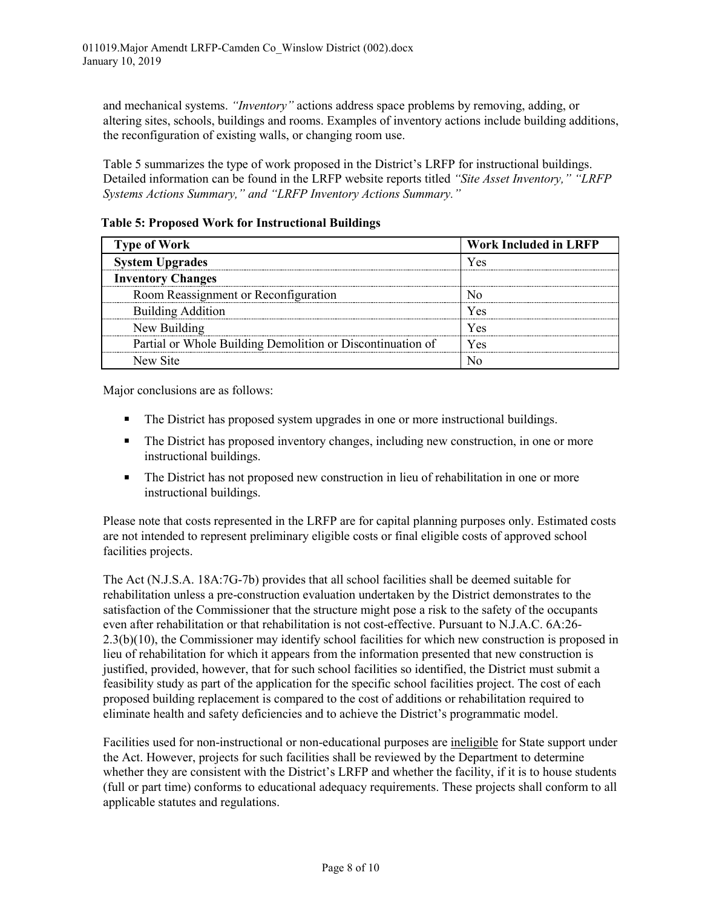and mechanical systems. *"Inventory"* actions address space problems by removing, adding, or altering sites, schools, buildings and rooms. Examples of inventory actions include building additions, the reconfiguration of existing walls, or changing room use.

Table 5 summarizes the type of work proposed in the District's LRFP for instructional buildings. Detailed information can be found in the LRFP website reports titled *"Site Asset Inventory," "LRFP Systems Actions Summary," and "LRFP Inventory Actions Summary."* 

**Table 5: Proposed Work for Instructional Buildings**

| <b>Type of Work</b>                                        | <b>Work Included in LRFP</b> |
|------------------------------------------------------------|------------------------------|
| <b>System Upgrades</b>                                     | Yes                          |
| <b>Inventory Changes</b>                                   |                              |
| Room Reassignment or Reconfiguration                       |                              |
| <b>Building Addition</b>                                   | Yes                          |
| New Building                                               | Yes                          |
| Partial or Whole Building Demolition or Discontinuation of | Yes                          |
| New Site                                                   |                              |

Major conclusions are as follows:

- The District has proposed system upgrades in one or more instructional buildings.
- The District has proposed inventory changes, including new construction, in one or more instructional buildings.
- The District has not proposed new construction in lieu of rehabilitation in one or more instructional buildings.

Please note that costs represented in the LRFP are for capital planning purposes only. Estimated costs are not intended to represent preliminary eligible costs or final eligible costs of approved school facilities projects.

The Act (N.J.S.A. 18A:7G-7b) provides that all school facilities shall be deemed suitable for rehabilitation unless a pre-construction evaluation undertaken by the District demonstrates to the satisfaction of the Commissioner that the structure might pose a risk to the safety of the occupants even after rehabilitation or that rehabilitation is not cost-effective. Pursuant to N.J.A.C. 6A:26- 2.3(b)(10), the Commissioner may identify school facilities for which new construction is proposed in lieu of rehabilitation for which it appears from the information presented that new construction is justified, provided, however, that for such school facilities so identified, the District must submit a feasibility study as part of the application for the specific school facilities project. The cost of each proposed building replacement is compared to the cost of additions or rehabilitation required to eliminate health and safety deficiencies and to achieve the District's programmatic model.

Facilities used for non-instructional or non-educational purposes are ineligible for State support under the Act. However, projects for such facilities shall be reviewed by the Department to determine whether they are consistent with the District's LRFP and whether the facility, if it is to house students (full or part time) conforms to educational adequacy requirements. These projects shall conform to all applicable statutes and regulations.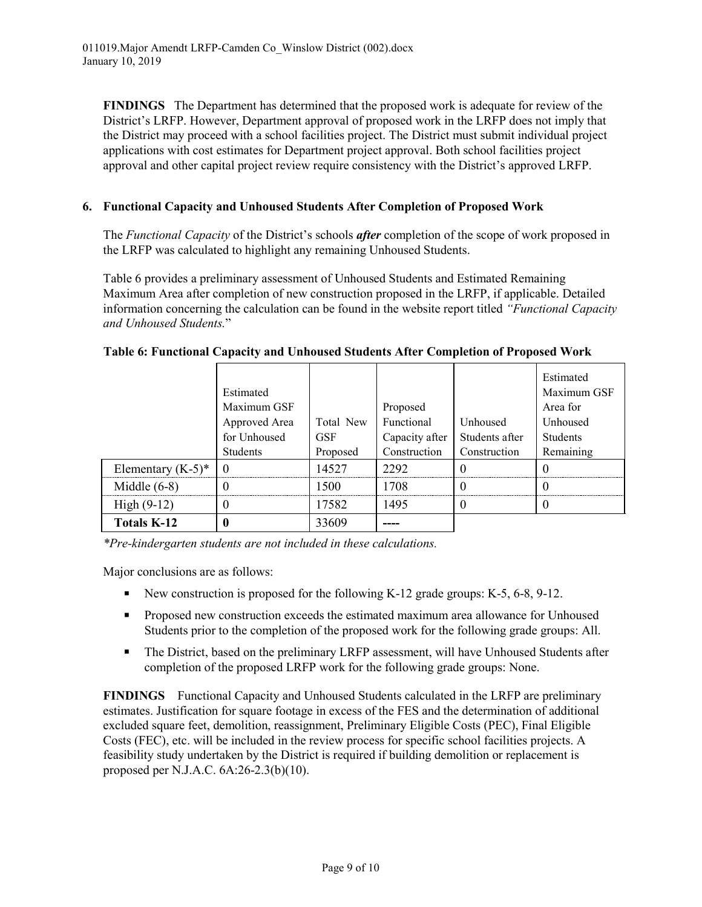**FINDINGS** The Department has determined that the proposed work is adequate for review of the District's LRFP. However, Department approval of proposed work in the LRFP does not imply that the District may proceed with a school facilities project. The District must submit individual project applications with cost estimates for Department project approval. Both school facilities project approval and other capital project review require consistency with the District's approved LRFP.

## **6. Functional Capacity and Unhoused Students After Completion of Proposed Work**

The *Functional Capacity* of the District's schools *after* completion of the scope of work proposed in the LRFP was calculated to highlight any remaining Unhoused Students.

Table 6 provides a preliminary assessment of Unhoused Students and Estimated Remaining Maximum Area after completion of new construction proposed in the LRFP, if applicable. Detailed information concerning the calculation can be found in the website report titled *"Functional Capacity and Unhoused Students.*"

|                      | Estimated<br>Maximum GSF<br>Approved Area<br>for Unhoused<br><b>Students</b> | Total New<br><b>GSF</b><br>Proposed | Proposed<br>Functional<br>Capacity after<br>Construction | Unhoused<br>Students after<br>Construction | Estimated<br>Maximum GSF<br>Area for<br>Unhoused<br>Students<br>Remaining |
|----------------------|------------------------------------------------------------------------------|-------------------------------------|----------------------------------------------------------|--------------------------------------------|---------------------------------------------------------------------------|
| Elementary $(K-5)^*$ |                                                                              | 4527                                | 2292                                                     |                                            |                                                                           |
| Middle $(6-8)$       |                                                                              | 1500                                | 1708                                                     |                                            |                                                                           |
| High $(9-12)$        |                                                                              | 17582                               | 1495                                                     | $\mathbf{U}$                               |                                                                           |
| <b>Totals K-12</b>   |                                                                              | 33609                               |                                                          |                                            |                                                                           |

#### **Table 6: Functional Capacity and Unhoused Students After Completion of Proposed Work**

*\*Pre-kindergarten students are not included in these calculations.*

Major conclusions are as follows:

- New construction is proposed for the following K-12 grade groups:  $K-5$ , 6-8, 9-12.
- Proposed new construction exceeds the estimated maximum area allowance for Unhoused Students prior to the completion of the proposed work for the following grade groups: All.
- The District, based on the preliminary LRFP assessment, will have Unhoused Students after completion of the proposed LRFP work for the following grade groups: None.

**FINDINGS** Functional Capacity and Unhoused Students calculated in the LRFP are preliminary estimates. Justification for square footage in excess of the FES and the determination of additional excluded square feet, demolition, reassignment, Preliminary Eligible Costs (PEC), Final Eligible Costs (FEC), etc. will be included in the review process for specific school facilities projects. A feasibility study undertaken by the District is required if building demolition or replacement is proposed per N.J.A.C. 6A:26-2.3(b)(10).